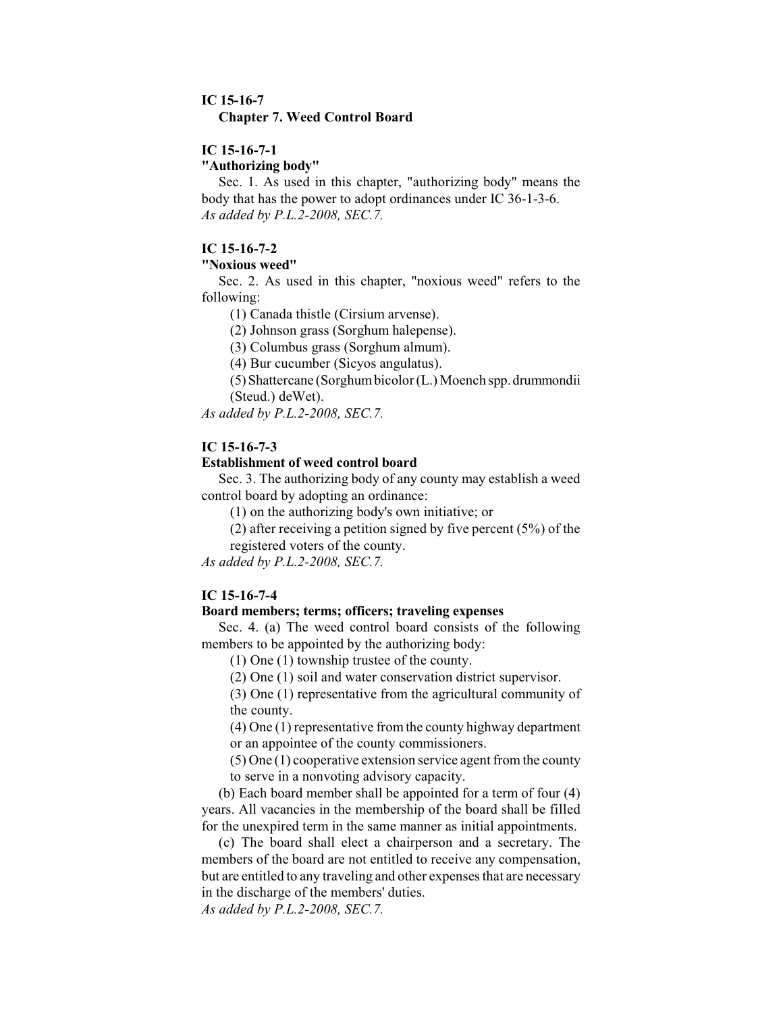## **IC 15-16-7**

#### **Chapter 7. Weed Control Board**

# **IC 15-16-7-1**

**"Authorizing body"**

Sec. 1. As used in this chapter, "authorizing body" means the body that has the power to adopt ordinances under IC 36-1-3-6. *As added by P.L.2-2008, SEC.7.*

# **IC 15-16-7-2**

#### **"Noxious weed"**

Sec. 2. As used in this chapter, "noxious weed" refers to the following:

(1) Canada thistle (Cirsium arvense).

(2) Johnson grass (Sorghum halepense).

(3) Columbus grass (Sorghum almum).

(4) Bur cucumber (Sicyos angulatus).

(5) Shattercane (Sorghumbicolor (L.) Moench spp.drummondii (Steud.) deWet).

*As added by P.L.2-2008, SEC.7.*

# **IC 15-16-7-3**

## **Establishment of weed control board**

Sec. 3. The authorizing body of any county may establish a weed control board by adopting an ordinance:

(1) on the authorizing body's own initiative; or

(2) after receiving a petition signed by five percent  $(5%)$  of the

registered voters of the county.

*As added by P.L.2-2008, SEC.7.*

### **IC 15-16-7-4**

# **Board members; terms; officers; traveling expenses**

Sec. 4. (a) The weed control board consists of the following members to be appointed by the authorizing body:

(1) One (1) township trustee of the county.

(2) One (1) soil and water conservation district supervisor.

(3) One (1) representative from the agricultural community of the county.

(4) One (1) representative fromthe county highway department or an appointee of the county commissioners.

(5) One (1) cooperative extension service agent fromthe county to serve in a nonvoting advisory capacity.

(b) Each board member shall be appointed for a term of four (4) years. All vacancies in the membership of the board shall be filled for the unexpired term in the same manner as initial appointments.

(c) The board shall elect a chairperson and a secretary. The members of the board are not entitled to receive any compensation, but are entitled to any traveling and other expenses that are necessary in the discharge of the members' duties.

*As added by P.L.2-2008, SEC.7.*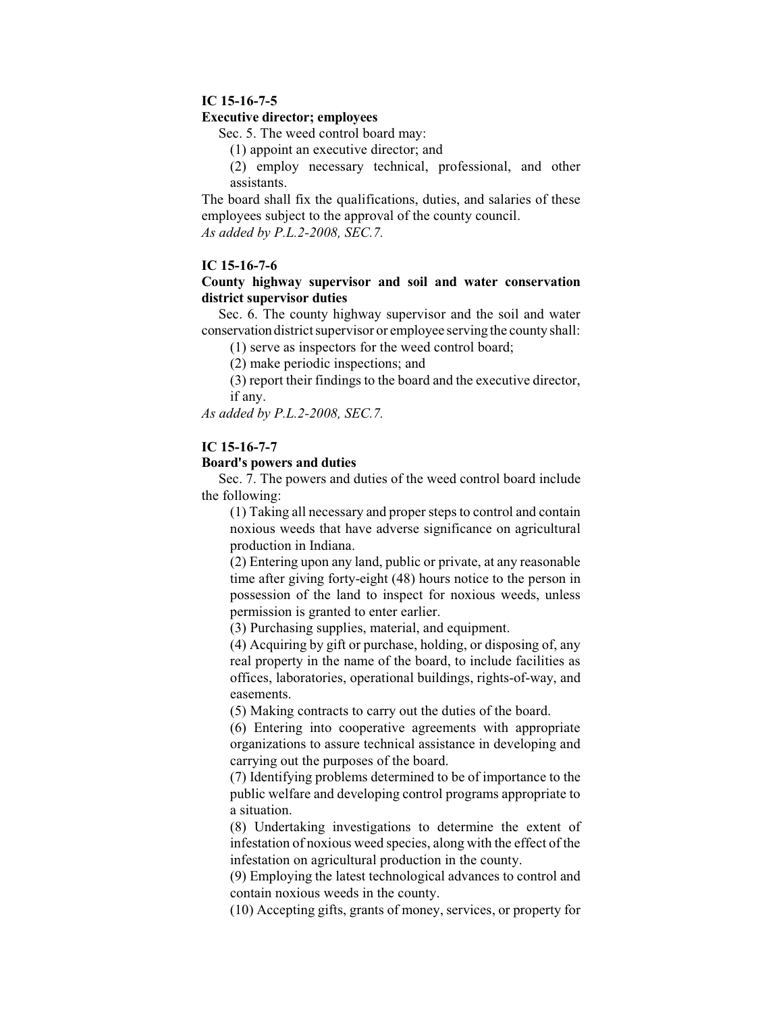## **IC 15-16-7-5**

### **Executive director; employees**

Sec. 5. The weed control board may:

(1) appoint an executive director; and

(2) employ necessary technical, professional, and other assistants.

The board shall fix the qualifications, duties, and salaries of these employees subject to the approval of the county council. *As added by P.L.2-2008, SEC.7.*

### **IC 15-16-7-6**

## **County highway supervisor and soil and water conservation district supervisor duties**

Sec. 6. The county highway supervisor and the soil and water conservation district supervisor or employee serving the county shall:

(1) serve as inspectors for the weed control board;

(2) make periodic inspections; and

(3) report their findings to the board and the executive director, if any.

*As added by P.L.2-2008, SEC.7.*

## **IC 15-16-7-7**

### **Board's powers and duties**

Sec. 7. The powers and duties of the weed control board include the following:

(1) Taking all necessary and properstepsto control and contain noxious weeds that have adverse significance on agricultural production in Indiana.

(2) Entering upon any land, public or private, at any reasonable time after giving forty-eight (48) hours notice to the person in possession of the land to inspect for noxious weeds, unless permission is granted to enter earlier.

(3) Purchasing supplies, material, and equipment.

(4) Acquiring by gift or purchase, holding, or disposing of, any real property in the name of the board, to include facilities as offices, laboratories, operational buildings, rights-of-way, and easements.

(5) Making contracts to carry out the duties of the board.

(6) Entering into cooperative agreements with appropriate organizations to assure technical assistance in developing and carrying out the purposes of the board.

(7) Identifying problems determined to be of importance to the public welfare and developing control programs appropriate to a situation.

(8) Undertaking investigations to determine the extent of infestation of noxious weed species, along with the effect of the infestation on agricultural production in the county.

(9) Employing the latest technological advances to control and contain noxious weeds in the county.

(10) Accepting gifts, grants of money, services, or property for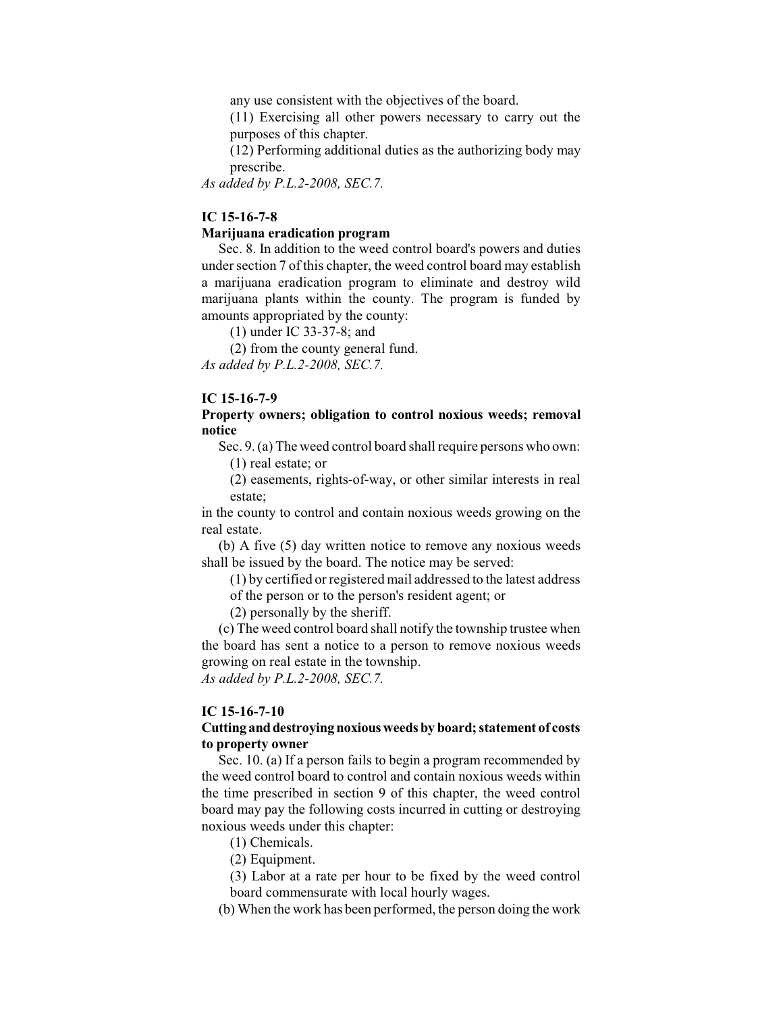any use consistent with the objectives of the board.

(11) Exercising all other powers necessary to carry out the purposes of this chapter.

(12) Performing additional duties as the authorizing body may prescribe.

*As added by P.L.2-2008, SEC.7.*

### **IC 15-16-7-8**

### **Marijuana eradication program**

Sec. 8. In addition to the weed control board's powers and duties under section 7 of this chapter, the weed control board may establish a marijuana eradication program to eliminate and destroy wild marijuana plants within the county. The program is funded by amounts appropriated by the county:

(1) under IC 33-37-8; and

(2) from the county general fund.

*As added by P.L.2-2008, SEC.7.*

### **IC 15-16-7-9**

### **Property owners; obligation to control noxious weeds; removal notice**

Sec. 9. (a) The weed control board shall require persons who own: (1) real estate; or

(2) easements, rights-of-way, or other similar interests in real estate;

in the county to control and contain noxious weeds growing on the real estate.

(b) A five (5) day written notice to remove any noxious weeds shall be issued by the board. The notice may be served:

(1) by certified or registered mail addressed to the latest address of the person or to the person's resident agent; or

(2) personally by the sheriff.

(c) The weed control board shall notify the township trustee when the board has sent a notice to a person to remove noxious weeds growing on real estate in the township.

*As added by P.L.2-2008, SEC.7.*

#### **IC 15-16-7-10**

## **Cutting anddestroying noxious weeds by board; statement of costs to property owner**

Sec. 10. (a) If a person fails to begin a program recommended by the weed control board to control and contain noxious weeds within the time prescribed in section 9 of this chapter, the weed control board may pay the following costs incurred in cutting or destroying noxious weeds under this chapter:

- (1) Chemicals.
- (2) Equipment.

(3) Labor at a rate per hour to be fixed by the weed control board commensurate with local hourly wages.

(b) When the work has been performed, the person doing the work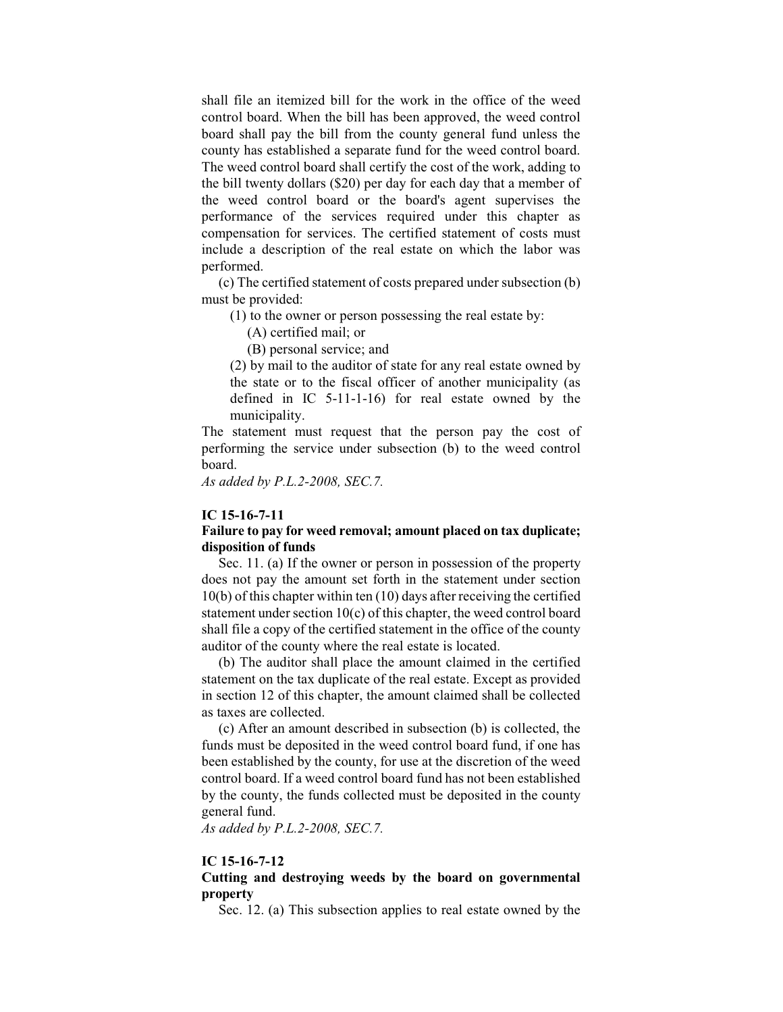shall file an itemized bill for the work in the office of the weed control board. When the bill has been approved, the weed control board shall pay the bill from the county general fund unless the county has established a separate fund for the weed control board. The weed control board shall certify the cost of the work, adding to the bill twenty dollars (\$20) per day for each day that a member of the weed control board or the board's agent supervises the performance of the services required under this chapter as compensation for services. The certified statement of costs must include a description of the real estate on which the labor was performed.

(c) The certified statement of costs prepared under subsection (b) must be provided:

(1) to the owner or person possessing the real estate by:

(A) certified mail; or

(B) personal service; and

(2) by mail to the auditor of state for any real estate owned by the state or to the fiscal officer of another municipality (as defined in IC 5-11-1-16) for real estate owned by the municipality.

The statement must request that the person pay the cost of performing the service under subsection (b) to the weed control board.

*As added by P.L.2-2008, SEC.7.*

#### **IC 15-16-7-11**

### **Failure to pay for weed removal; amount placed on tax duplicate; disposition of funds**

Sec. 11. (a) If the owner or person in possession of the property does not pay the amount set forth in the statement under section 10(b) of this chapter within ten (10) days after receiving the certified statement under section 10(c) of this chapter, the weed control board shall file a copy of the certified statement in the office of the county auditor of the county where the real estate is located.

(b) The auditor shall place the amount claimed in the certified statement on the tax duplicate of the real estate. Except as provided in section 12 of this chapter, the amount claimed shall be collected as taxes are collected.

(c) After an amount described in subsection (b) is collected, the funds must be deposited in the weed control board fund, if one has been established by the county, for use at the discretion of the weed control board. If a weed control board fund has not been established by the county, the funds collected must be deposited in the county general fund.

*As added by P.L.2-2008, SEC.7.*

### **IC 15-16-7-12**

## **Cutting and destroying weeds by the board on governmental property**

Sec. 12. (a) This subsection applies to real estate owned by the